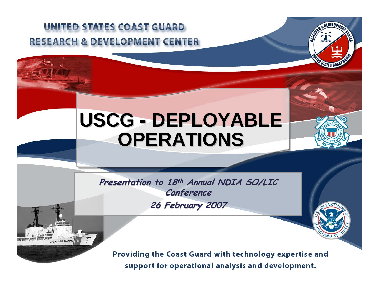#### UNITED STATES COAST GUARD **RESEARCH & DEVELOPMENT CENTER**



### **USCG - DEPLOYABLE OPERATIONS OPERATIONS**

**Presentation to 18th Annual NDIA SO/LIC Conference Conference 26 February 2007 26 February 2007**

Providing the Coast Guard with technology expertise and support for operational analysis and development.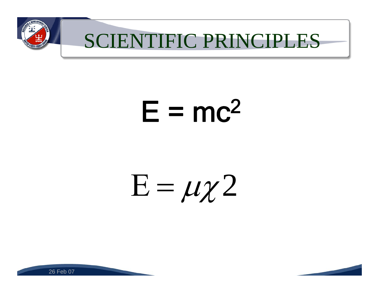

## SCIENTIFIC PRINCIPLES

# $E = mc^2$

# $\mathrm{E}=\mu\chi\,2$

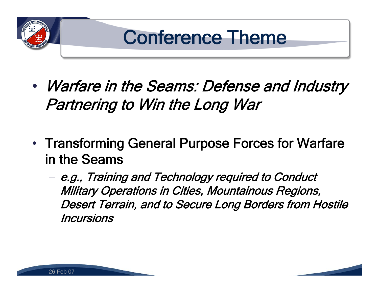

- $\bullet$  Warfare in the Seams: Defense and Industry Partnering to Win the Long War
- Transforming General Purpose Forces for Warfare in the Seams
	- e.g., Training and Technology required to Conduct Military Operations in Cities, Mountainous Regions, Desert Terrain, and to Secure Long Borders from Hostile Incursions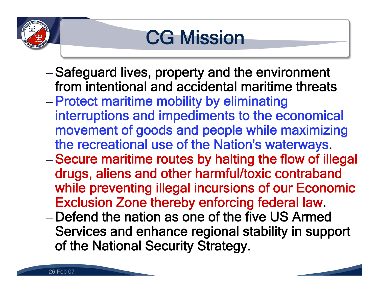## **CG Mission**

- –Safeguard lives, property and the environment from intentional and accidental maritime threats
- –Protect maritime mobility by eliminating interruptions and impediments to the economical movement of goods and people while maximizing the recreational use of the Nation's waterways.
- –Secure maritime routes by halting the flow of illegal drugs, aliens and other harmful/toxic contraband while preventing illegal incursions of our Economic Exclusion Zone thereby enforcing federal law.
- –Defend the nation as one of the five US Armed Services and enhance regional stability in support of the National Security Strategy.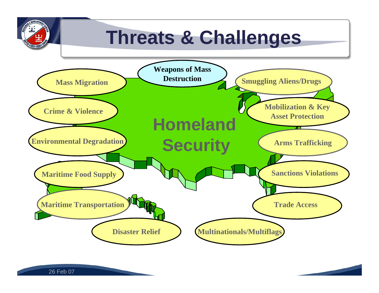## **Threats & Challenges**

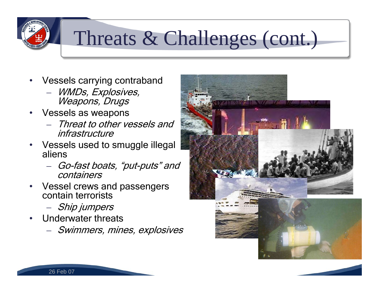## Threats & Challenges (cont.)

- • Vessels carrying contraband
	- WMDs, Explosives, Weapons, Drugs
- • Vessels as weapons
	- Threat to other vessels and infrastructure
- • Vessels used to smuggle illegal aliens
	- Go-fast boats, "put-puts" and containers
- • Vessel crews and passengers contain terrorists
	- Ship jumpers
- • Underwater threats
	- Swimmers, mines, explosives

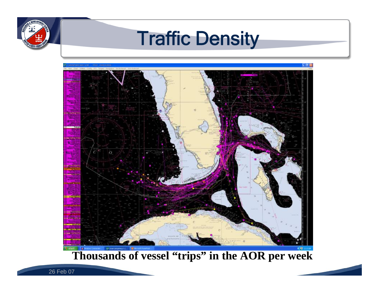### Traffic Density



#### **Thousands of vessel "trips" in the AOR per week**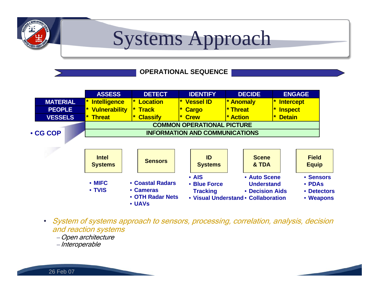

### Systems Approach

#### **OPERATIONAL SEQUENCE**



• System of systems approach to sensors, processing, correlation, analysis, decision and reaction systems

–Open architecture

–Interoperable

26 Feb 07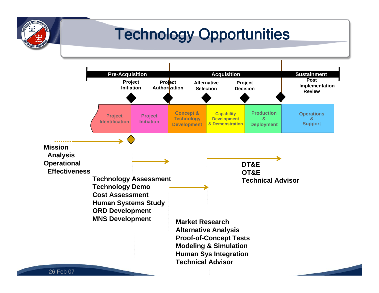#### Technology Opportunities

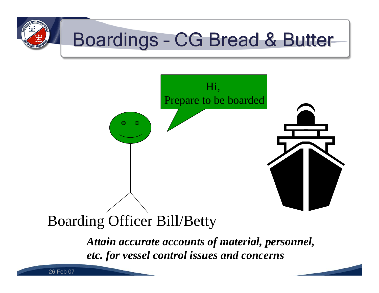



#### Boarding Officer Bill/Betty

*Attain accurate accounts of material, personnel, etc. for vessel control issues and concerns*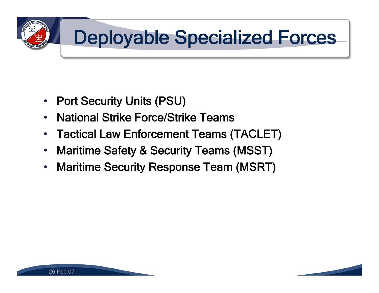

- •Port Security Units (PSU)
- •National Strike Force/Strike Teams
- •Tactical Law Enforcement Teams (TACLET)
- •Maritime Safety & Security Teams (MSST)
- •Maritime Security Response Team (MSRT)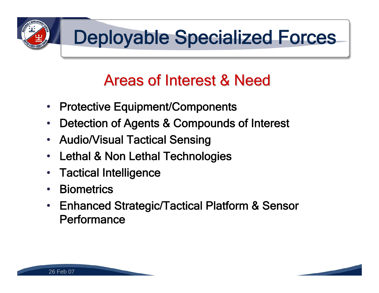

### **Areas of Interest & Need**

- $\bullet$ Protective Equipment/Components
- $\bullet$ Detection of Agents & Compounds of Interest
- Audio/Visual Tactical Sensing
- $\bullet$ Lethal & Non Lethal Technologies
- $\bullet$ Tactical Intelligence
- $\bullet$ **Biometrics**
- • Enhanced Strategic/Tactical Platform & Sensor **Performance**

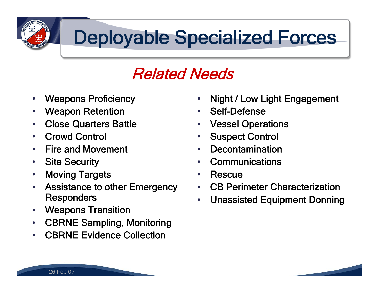

#### Related Needs

- •Weapons Proficiency
- •Weapon Retention
- •Close Quarters Battle
- •Crowd Control
- •Fire and Movement
- $\bullet$ Site Security
- •Moving Targets
- • Assistance to other Emergency **Responders**
- $\bullet$ Weapons Transition
- •CBRNE Sampling, Monitoring
- •CBRNE Evidence Collection
- •Night / Low Light Engagement
- $\bullet$ Self-Defense
- •Vessel Operations
- $\bullet$ Suspect Control
- •Decontamination
- •**Communications**
- $\bullet$ Rescue
- •CB Perimeter Characterization
- $\bullet$ Unassisted Equipment Donning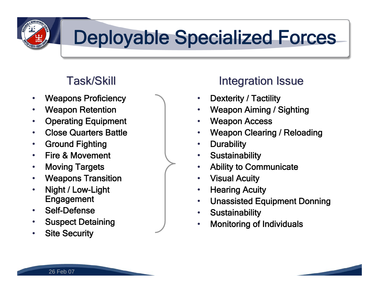

- $\bullet$ Weapons Proficiency
- •Weapon Retention
- •Operating Equipment
- •Close Quarters Battle
- $\bullet$ Ground Fighting
- •Fire & Movement
- •Moving Targets
- •Weapons Transition
- • Night / Low-Light **Engagement**
- •Self-Defense
- •Suspect Detaining
- •Site Security

#### Task/Skill Task/Skill Integration Issue Integration Issue

- •Dexterity / Tactility
- $\bullet$ Weapon Aiming / Sighting
- •Weapon Access
- •Weapon Clearing / Reloading
- $\bullet$ **Durability**
- $\bullet$ **Sustainability**
- $\bullet$ Ability to Communicate
- $\bullet$ Visual Acuity
- $\bullet$ Hearing Acuity
- $\bullet$ Unassisted Equipment Donning
- $\bullet$ **Sustainability**
- •Monitoring of Individuals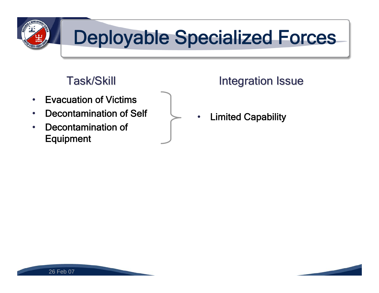

- •Evacuation of Victims
- •Decontamination of Self
- • Decontamination of Equipment

#### Task/Skill Task/Skill Integration Issue Integration Issue

•Limited Capability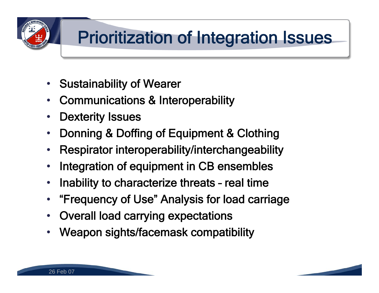

### Prioritization of Integration Issues

- $\bullet$ Sustainability of Wearer
- •Communications & Interoperability
- $\bullet$ Dexterity Issues
- $\bullet$ Donning & Doffing of Equipment & Clothing
- •Respirator interoperability/interchangeability
- •Integration of equipment in CB ensembles
- $\bullet$ • Inability to characterize threats - real time
- "Frequency of Use" Analysis for load carriage  $\bullet$
- Overall load carrying expectations  $\bullet$
- •Weapon sights/facemask compatibility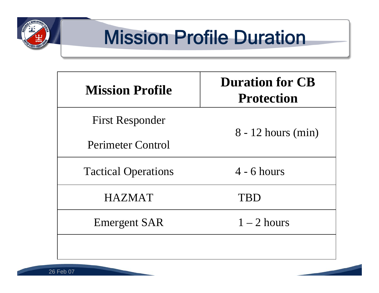

## Mission Profile Duration

| <b>Mission Profile</b>     | <b>Duration for CB</b><br><b>Protection</b> |
|----------------------------|---------------------------------------------|
| <b>First Responder</b>     | $8 - 12$ hours (min)                        |
| Perimeter Control          |                                             |
| <b>Tactical Operations</b> | $4 - 6$ hours                               |
| <b>HAZMAT</b>              | TBD                                         |
| <b>Emergent SAR</b>        | $1-2$ hours                                 |
|                            |                                             |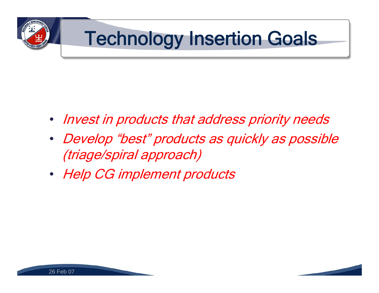# Technology Insertion Goals

- Invest in products that address priority needs
- Develop "best" products as quickly as possible (triage/spiral approach)
- Help CG implement products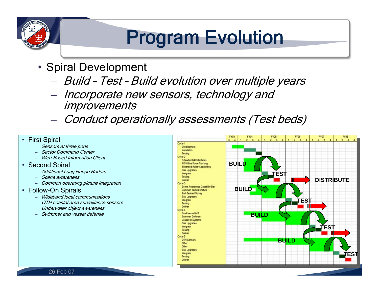## Program Evolution

- Spiral Development
	- Build Test Build evolution over multiple years
	- Incorporate new sensors, technology and **improvements**
	- Conduct operationally assessments (Test beds)



- Sensors at three ports
- Sector Command Center
- Web-Based Information Client
- Second Spiral
	- Additional Long Range Radars
	- Scene awareness
	- Common operating picture integration
- Follow-On Spirals
	- Wideband local communications
	- OTH coastal area surveillance sensors
	- Underwater object awareness
	- Swimmer and vessel defense

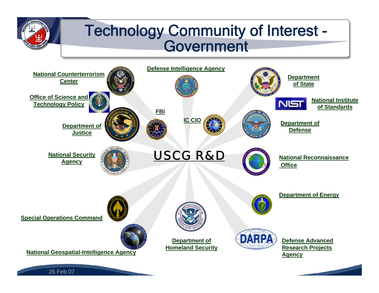#### Technology Community of Interest - Government

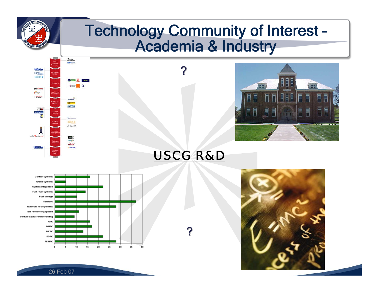#### Technology Community of Interest – Academia & Industry





#### *USCG R&D*

?

?





FFI

Ē

F

E E

늡

壽